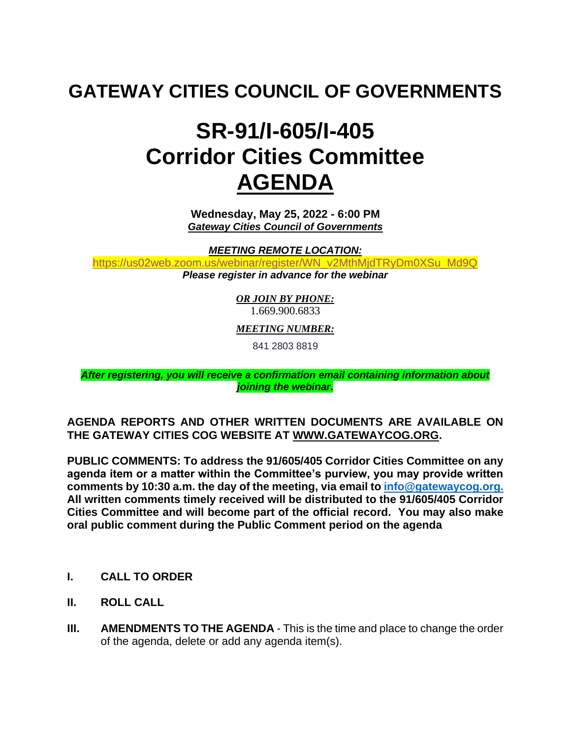### **GATEWAY CITIES COUNCIL OF GOVERNMENTS**

# **SR-91/I-605/I-405 Corridor Cities Committee AGENDA**

**Wednesday, May 25, 2022 - 6:00 PM** *Gateway Cities Council of Governments*

*MEETING REMOTE LOCATION:*

[https://us02web.zoom.us/webinar/register/WN\\_v2MthMjdTRyDm0XSu\\_Md9Q](https://us02web.zoom.us/webinar/register/WN_v2MthMjdTRyDm0XSu_Md9Q) *Please register in advance for the webinar*

> *OR JOIN BY PHONE:* 1.669.900.6833

*MEETING NUMBER:*

841 2803 8819

*After registering, you will receive a confirmation email containing information about joining the webinar.*

#### **AGENDA REPORTS AND OTHER WRITTEN DOCUMENTS ARE AVAILABLE ON THE GATEWAY CITIES COG WEBSITE AT [WWW.GATEWAYCOG.ORG.](http://www.gatewaycog.org/)**

**PUBLIC COMMENTS: To address the 91/605/405 Corridor Cities Committee on any agenda item or a matter within the Committee's purview, you may provide written comments by 10:30 a.m. the day of the meeting, via email to [info@gatewaycog.org.](mailto:info@gatewaycog.org) All written comments timely received will be distributed to the 91/605/405 Corridor Cities Committee and will become part of the official record. You may also make oral public comment during the Public Comment period on the agenda**

- **I. CALL TO ORDER**
- **II. ROLL CALL**
- **III.** AMENDMENTS TO THE AGENDA This is the time and place to change the order of the agenda, delete or add any agenda item(s).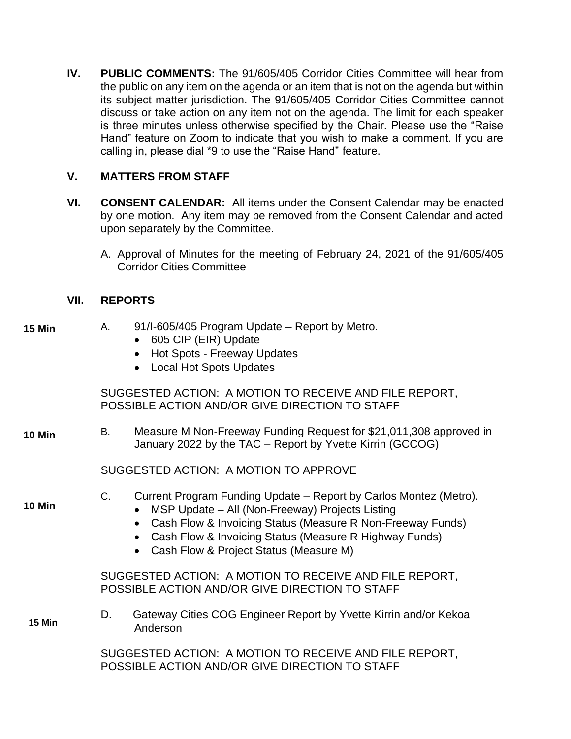**IV. PUBLIC COMMENTS:** The 91/605/405 Corridor Cities Committee will hear from the public on any item on the agenda or an item that is not on the agenda but within its subject matter jurisdiction. The 91/605/405 Corridor Cities Committee cannot discuss or take action on any item not on the agenda. The limit for each speaker is three minutes unless otherwise specified by the Chair. Please use the "Raise Hand" feature on Zoom to indicate that you wish to make a comment. If you are calling in, please dial \*9 to use the "Raise Hand" feature.

#### **V. MATTERS FROM STAFF**

- **VI. CONSENT CALENDAR:** All items under the Consent Calendar may be enacted by one motion. Any item may be removed from the Consent Calendar and acted upon separately by the Committee.
	- A. Approval of Minutes for the meeting of February 24, 2021 of the 91/605/405 Corridor Cities Committee

#### **VII. REPORTS**

**15 Min**

|               |                                                                                                          | • 605 CIP (EIR) Update<br><b>Hot Spots - Freeway Updates</b><br>• Local Hot Spots Updates                                                                                                                                                                                                           |  |  |  |  |  |  |  |
|---------------|----------------------------------------------------------------------------------------------------------|-----------------------------------------------------------------------------------------------------------------------------------------------------------------------------------------------------------------------------------------------------------------------------------------------------|--|--|--|--|--|--|--|
|               | SUGGESTED ACTION: A MOTION TO RECEIVE AND FILE REPORT,<br>POSSIBLE ACTION AND/OR GIVE DIRECTION TO STAFF |                                                                                                                                                                                                                                                                                                     |  |  |  |  |  |  |  |
| <b>10 Min</b> | В.                                                                                                       | Measure M Non-Freeway Funding Request for \$21,011,308 approved in<br>January 2022 by the TAC – Report by Yvette Kirrin (GCCOG)                                                                                                                                                                     |  |  |  |  |  |  |  |
|               | SUGGESTED ACTION: A MOTION TO APPROVE                                                                    |                                                                                                                                                                                                                                                                                                     |  |  |  |  |  |  |  |
| <b>10 Min</b> | $C_{\cdot}$                                                                                              | Current Program Funding Update – Report by Carlos Montez (Metro).<br>MSP Update - All (Non-Freeway) Projects Listing<br>Cash Flow & Invoicing Status (Measure R Non-Freeway Funds)<br>Cash Flow & Invoicing Status (Measure R Highway Funds)<br>$\bullet$<br>Cash Flow & Project Status (Measure M) |  |  |  |  |  |  |  |
|               |                                                                                                          | SUGGESTED ACTION: A MOTION TO RECEIVE AND FILE REPORT,<br>POSSIBLE ACTION AND/OR GIVE DIRECTION TO STAFF                                                                                                                                                                                            |  |  |  |  |  |  |  |
| <b>15 Min</b> | D.                                                                                                       | Gateway Cities COG Engineer Report by Yvette Kirrin and/or Kekoa<br>Anderson                                                                                                                                                                                                                        |  |  |  |  |  |  |  |
|               | SUGGESTED ACTION: A MOTION TO RECEIVE AND FILE REPORT,<br>POSSIBLE ACTION AND/OR GIVE DIRECTION TO STAFF |                                                                                                                                                                                                                                                                                                     |  |  |  |  |  |  |  |

A. 91/I-605/405 Program Update – Report by Metro.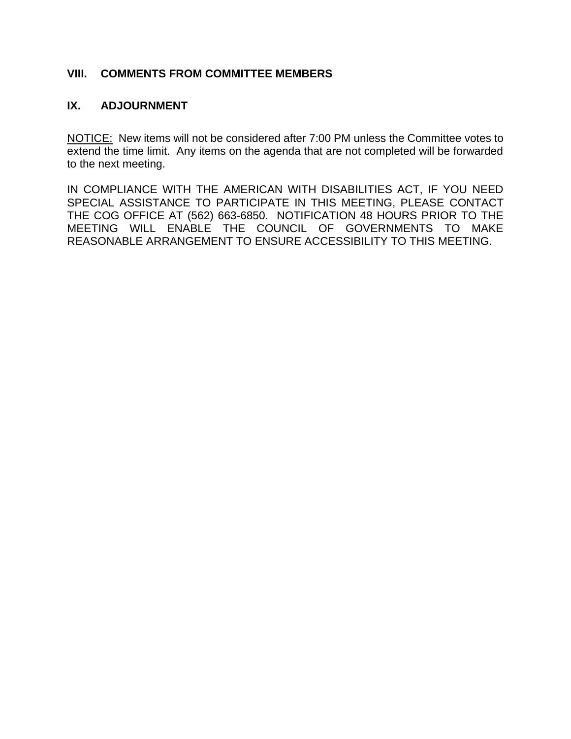#### **VIII. COMMENTS FROM COMMITTEE MEMBERS**

#### **IX. ADJOURNMENT**

NOTICE: New items will not be considered after 7:00 PM unless the Committee votes to extend the time limit. Any items on the agenda that are not completed will be forwarded to the next meeting.

IN COMPLIANCE WITH THE AMERICAN WITH DISABILITIES ACT, IF YOU NEED SPECIAL ASSISTANCE TO PARTICIPATE IN THIS MEETING, PLEASE CONTACT THE COG OFFICE AT (562) 663-6850. NOTIFICATION 48 HOURS PRIOR TO THE MEETING WILL ENABLE THE COUNCIL OF GOVERNMENTS TO MAKE REASONABLE ARRANGEMENT TO ENSURE ACCESSIBILITY TO THIS MEETING.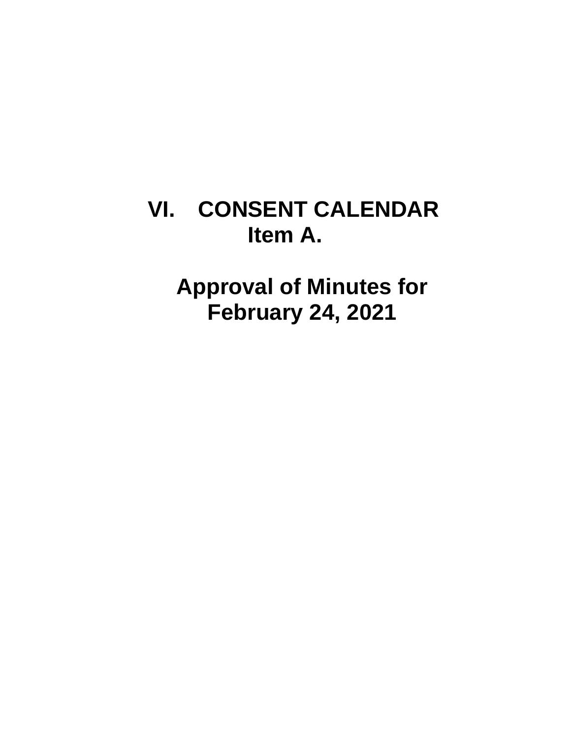# **VI. CONSENT CALENDAR Item A.**

**Approval of Minutes for February 24, 2021**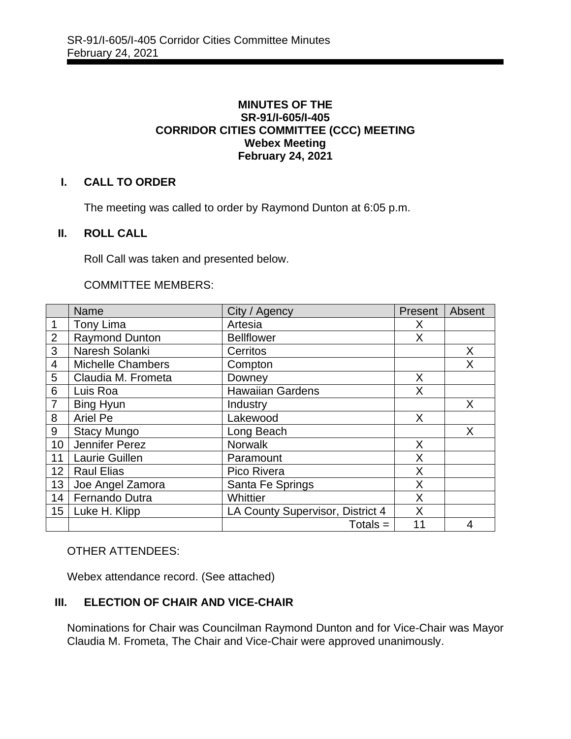#### **MINUTES OF THE SR-91/I-605/I-405 CORRIDOR CITIES COMMITTEE (CCC) MEETING Webex Meeting February 24, 2021**

#### **I. CALL TO ORDER**

The meeting was called to order by Raymond Dunton at 6:05 p.m.

#### **II. ROLL CALL**

Roll Call was taken and presented below.

#### COMMITTEE MEMBERS:

|                 | <b>Name</b>              | City / Agency                    | Present | Absent         |
|-----------------|--------------------------|----------------------------------|---------|----------------|
| 1               | Tony Lima                | Artesia                          | X       |                |
| $\overline{2}$  | <b>Raymond Dunton</b>    | <b>Bellflower</b>                | X       |                |
| 3               | Naresh Solanki           | Cerritos                         |         | X              |
| $\overline{4}$  | <b>Michelle Chambers</b> | Compton                          |         | X              |
| 5               | Claudia M. Frometa       | Downey                           | X       |                |
| 6               | Luis Roa                 | <b>Hawaiian Gardens</b>          | X       |                |
| $\overline{7}$  | Bing Hyun                | Industry                         |         | X              |
| 8               | Ariel Pe                 | Lakewood                         | X       |                |
| 9               | <b>Stacy Mungo</b>       | Long Beach                       |         | X              |
| 10 <sup>1</sup> | Jennifer Perez           | <b>Norwalk</b>                   | X       |                |
| 11              | <b>Laurie Guillen</b>    | Paramount                        | X       |                |
| 12              | <b>Raul Elias</b>        | Pico Rivera                      | X       |                |
| 13              | Joe Angel Zamora         | Santa Fe Springs                 | X       |                |
| 14              | Fernando Dutra           | Whittier                         | X       |                |
| 15              | Luke H. Klipp            | LA County Supervisor, District 4 | X       |                |
|                 |                          | $Totals =$                       | 11      | $\overline{4}$ |

#### OTHER ATTENDEES:

Webex attendance record. (See attached)

#### **III. ELECTION OF CHAIR AND VICE-CHAIR**

Nominations for Chair was Councilman Raymond Dunton and for Vice-Chair was Mayor Claudia M. Frometa, The Chair and Vice-Chair were approved unanimously.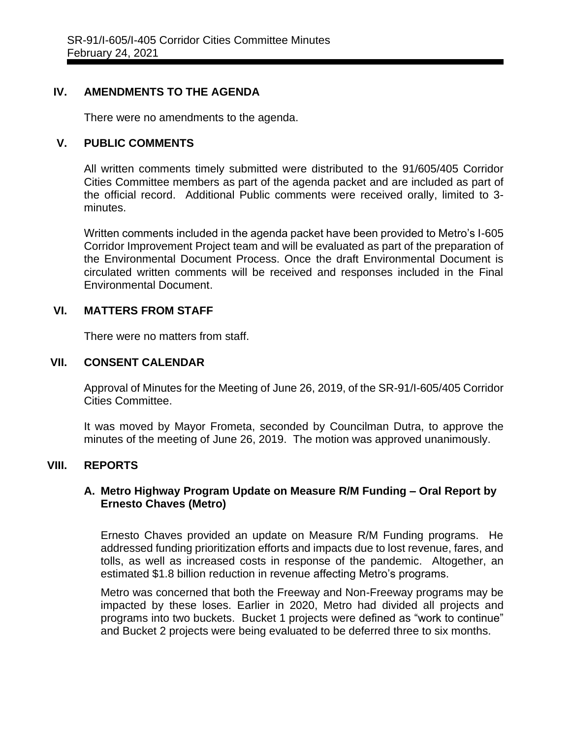#### **IV. AMENDMENTS TO THE AGENDA**

There were no amendments to the agenda.

#### **V. PUBLIC COMMENTS**

All written comments timely submitted were distributed to the 91/605/405 Corridor Cities Committee members as part of the agenda packet and are included as part of the official record. Additional Public comments were received orally, limited to 3 minutes.

Written comments included in the agenda packet have been provided to Metro's I-605 Corridor Improvement Project team and will be evaluated as part of the preparation of the Environmental Document Process. Once the draft Environmental Document is circulated written comments will be received and responses included in the Final Environmental Document.

#### **VI. MATTERS FROM STAFF**

There were no matters from staff.

#### **VII. CONSENT CALENDAR**

Approval of Minutes for the Meeting of June 26, 2019, of the SR-91/I-605/405 Corridor Cities Committee.

It was moved by Mayor Frometa, seconded by Councilman Dutra, to approve the minutes of the meeting of June 26, 2019. The motion was approved unanimously.

#### **VIII. REPORTS**

#### **A. Metro Highway Program Update on Measure R/M Funding – Oral Report by Ernesto Chaves (Metro)**

Ernesto Chaves provided an update on Measure R/M Funding programs. He addressed funding prioritization efforts and impacts due to lost revenue, fares, and tolls, as well as increased costs in response of the pandemic. Altogether, an estimated \$1.8 billion reduction in revenue affecting Metro's programs.

Metro was concerned that both the Freeway and Non-Freeway programs may be impacted by these loses. Earlier in 2020, Metro had divided all projects and programs into two buckets. Bucket 1 projects were defined as "work to continue" and Bucket 2 projects were being evaluated to be deferred three to six months.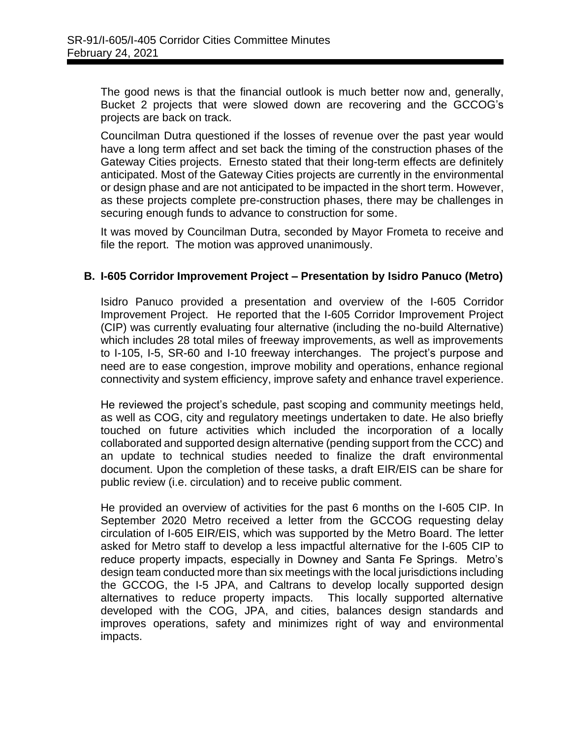The good news is that the financial outlook is much better now and, generally, Bucket 2 projects that were slowed down are recovering and the GCCOG's projects are back on track.

Councilman Dutra questioned if the losses of revenue over the past year would have a long term affect and set back the timing of the construction phases of the Gateway Cities projects. Ernesto stated that their long-term effects are definitely anticipated. Most of the Gateway Cities projects are currently in the environmental or design phase and are not anticipated to be impacted in the short term. However, as these projects complete pre-construction phases, there may be challenges in securing enough funds to advance to construction for some.

It was moved by Councilman Dutra, seconded by Mayor Frometa to receive and file the report. The motion was approved unanimously.

#### **B. I-605 Corridor Improvement Project – Presentation by Isidro Panuco (Metro)**

Isidro Panuco provided a presentation and overview of the I-605 Corridor Improvement Project. He reported that the I-605 Corridor Improvement Project (CIP) was currently evaluating four alternative (including the no-build Alternative) which includes 28 total miles of freeway improvements, as well as improvements to I-105, I-5, SR-60 and I-10 freeway interchanges. The project's purpose and need are to ease congestion, improve mobility and operations, enhance regional connectivity and system efficiency, improve safety and enhance travel experience.

He reviewed the project's schedule, past scoping and community meetings held, as well as COG, city and regulatory meetings undertaken to date. He also briefly touched on future activities which included the incorporation of a locally collaborated and supported design alternative (pending support from the CCC) and an update to technical studies needed to finalize the draft environmental document. Upon the completion of these tasks, a draft EIR/EIS can be share for public review (i.e. circulation) and to receive public comment.

He provided an overview of activities for the past 6 months on the I-605 CIP. In September 2020 Metro received a letter from the GCCOG requesting delay circulation of I-605 EIR/EIS, which was supported by the Metro Board. The letter asked for Metro staff to develop a less impactful alternative for the I-605 CIP to reduce property impacts, especially in Downey and Santa Fe Springs. Metro's design team conducted more than six meetings with the local jurisdictions including the GCCOG, the I-5 JPA, and Caltrans to develop locally supported design alternatives to reduce property impacts. This locally supported alternative developed with the COG, JPA, and cities, balances design standards and improves operations, safety and minimizes right of way and environmental impacts.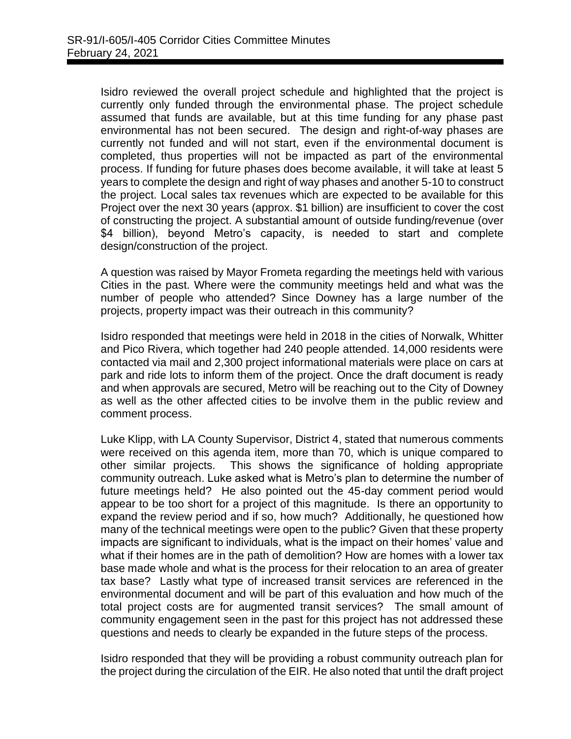Isidro reviewed the overall project schedule and highlighted that the project is currently only funded through the environmental phase. The project schedule assumed that funds are available, but at this time funding for any phase past environmental has not been secured. The design and right-of-way phases are currently not funded and will not start, even if the environmental document is completed, thus properties will not be impacted as part of the environmental process. If funding for future phases does become available, it will take at least 5 years to complete the design and right of way phases and another 5-10 to construct the project. Local sales tax revenues which are expected to be available for this Project over the next 30 years (approx. \$1 billion) are insufficient to cover the cost of constructing the project. A substantial amount of outside funding/revenue (over \$4 billion), beyond Metro's capacity, is needed to start and complete design/construction of the project.

A question was raised by Mayor Frometa regarding the meetings held with various Cities in the past. Where were the community meetings held and what was the number of people who attended? Since Downey has a large number of the projects, property impact was their outreach in this community?

Isidro responded that meetings were held in 2018 in the cities of Norwalk, Whitter and Pico Rivera, which together had 240 people attended. 14,000 residents were contacted via mail and 2,300 project informational materials were place on cars at park and ride lots to inform them of the project. Once the draft document is ready and when approvals are secured, Metro will be reaching out to the City of Downey as well as the other affected cities to be involve them in the public review and comment process.

Luke Klipp, with LA County Supervisor, District 4, stated that numerous comments were received on this agenda item, more than 70, which is unique compared to other similar projects. This shows the significance of holding appropriate community outreach. Luke asked what is Metro's plan to determine the number of future meetings held? He also pointed out the 45-day comment period would appear to be too short for a project of this magnitude. Is there an opportunity to expand the review period and if so, how much? Additionally, he questioned how many of the technical meetings were open to the public? Given that these property impacts are significant to individuals, what is the impact on their homes' value and what if their homes are in the path of demolition? How are homes with a lower tax base made whole and what is the process for their relocation to an area of greater tax base? Lastly what type of increased transit services are referenced in the environmental document and will be part of this evaluation and how much of the total project costs are for augmented transit services? The small amount of community engagement seen in the past for this project has not addressed these questions and needs to clearly be expanded in the future steps of the process.

Isidro responded that they will be providing a robust community outreach plan for the project during the circulation of the EIR. He also noted that until the draft project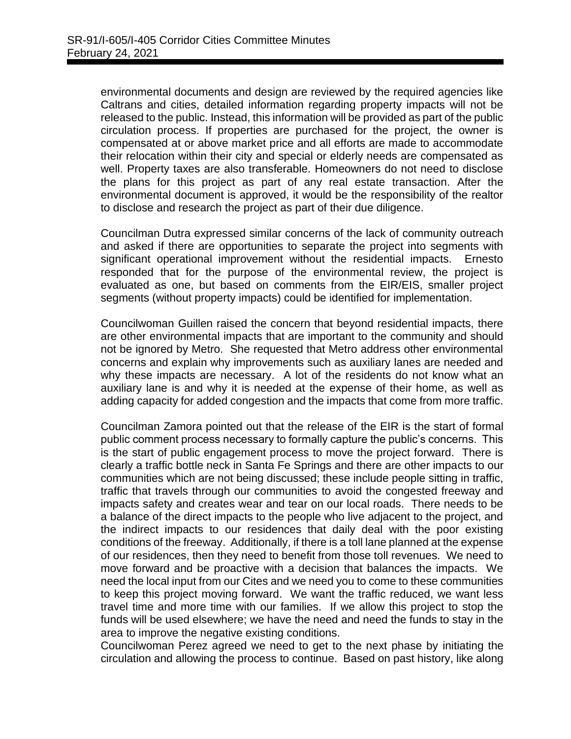environmental documents and design are reviewed by the required agencies like Caltrans and cities, detailed information regarding property impacts will not be released to the public. Instead, this information will be provided as part of the public circulation process. If properties are purchased for the project, the owner is compensated at or above market price and all efforts are made to accommodate their relocation within their city and special or elderly needs are compensated as well. Property taxes are also transferable. Homeowners do not need to disclose the plans for this project as part of any real estate transaction. After the environmental document is approved, it would be the responsibility of the realtor to disclose and research the project as part of their due diligence.

Councilman Dutra expressed similar concerns of the lack of community outreach and asked if there are opportunities to separate the project into segments with significant operational improvement without the residential impacts. Ernesto responded that for the purpose of the environmental review, the project is evaluated as one, but based on comments from the EIR/EIS, smaller project segments (without property impacts) could be identified for implementation.

Councilwoman Guillen raised the concern that beyond residential impacts, there are other environmental impacts that are important to the community and should not be ignored by Metro. She requested that Metro address other environmental concerns and explain why improvements such as auxiliary lanes are needed and why these impacts are necessary. A lot of the residents do not know what an auxiliary lane is and why it is needed at the expense of their home, as well as adding capacity for added congestion and the impacts that come from more traffic.

Councilman Zamora pointed out that the release of the EIR is the start of formal public comment process necessary to formally capture the public's concerns. This is the start of public engagement process to move the project forward. There is clearly a traffic bottle neck in Santa Fe Springs and there are other impacts to our communities which are not being discussed; these include people sitting in traffic, traffic that travels through our communities to avoid the congested freeway and impacts safety and creates wear and tear on our local roads. There needs to be a balance of the direct impacts to the people who live adjacent to the project, and the indirect impacts to our residences that daily deal with the poor existing conditions of the freeway. Additionally, if there is a toll lane planned at the expense of our residences, then they need to benefit from those toll revenues. We need to move forward and be proactive with a decision that balances the impacts. We need the local input from our Cites and we need you to come to these communities to keep this project moving forward. We want the traffic reduced, we want less travel time and more time with our families. If we allow this project to stop the funds will be used elsewhere; we have the need and need the funds to stay in the area to improve the negative existing conditions.

Councilwoman Perez agreed we need to get to the next phase by initiating the circulation and allowing the process to continue. Based on past history, like along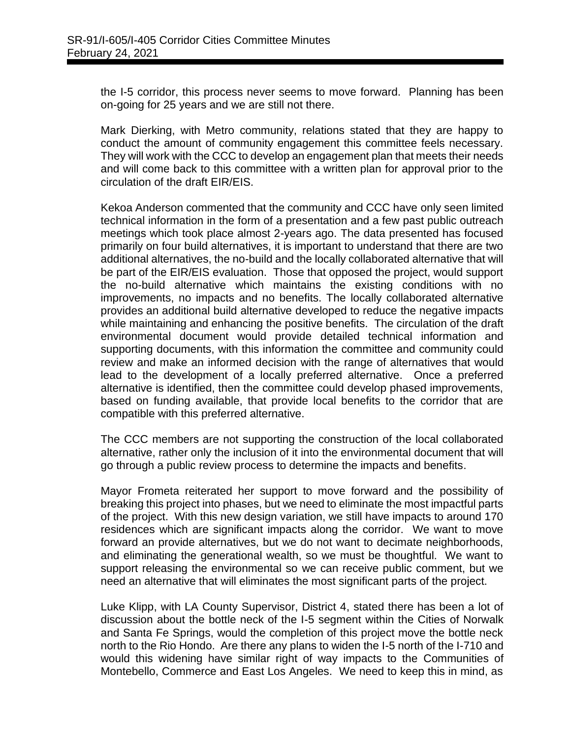the I-5 corridor, this process never seems to move forward. Planning has been on-going for 25 years and we are still not there.

Mark Dierking, with Metro community, relations stated that they are happy to conduct the amount of community engagement this committee feels necessary. They will work with the CCC to develop an engagement plan that meets their needs and will come back to this committee with a written plan for approval prior to the circulation of the draft EIR/EIS.

Kekoa Anderson commented that the community and CCC have only seen limited technical information in the form of a presentation and a few past public outreach meetings which took place almost 2-years ago. The data presented has focused primarily on four build alternatives, it is important to understand that there are two additional alternatives, the no-build and the locally collaborated alternative that will be part of the EIR/EIS evaluation. Those that opposed the project, would support the no-build alternative which maintains the existing conditions with no improvements, no impacts and no benefits. The locally collaborated alternative provides an additional build alternative developed to reduce the negative impacts while maintaining and enhancing the positive benefits. The circulation of the draft environmental document would provide detailed technical information and supporting documents, with this information the committee and community could review and make an informed decision with the range of alternatives that would lead to the development of a locally preferred alternative. Once a preferred alternative is identified, then the committee could develop phased improvements, based on funding available, that provide local benefits to the corridor that are compatible with this preferred alternative.

The CCC members are not supporting the construction of the local collaborated alternative, rather only the inclusion of it into the environmental document that will go through a public review process to determine the impacts and benefits.

Mayor Frometa reiterated her support to move forward and the possibility of breaking this project into phases, but we need to eliminate the most impactful parts of the project. With this new design variation, we still have impacts to around 170 residences which are significant impacts along the corridor. We want to move forward an provide alternatives, but we do not want to decimate neighborhoods, and eliminating the generational wealth, so we must be thoughtful. We want to support releasing the environmental so we can receive public comment, but we need an alternative that will eliminates the most significant parts of the project.

Luke Klipp, with LA County Supervisor, District 4, stated there has been a lot of discussion about the bottle neck of the I-5 segment within the Cities of Norwalk and Santa Fe Springs, would the completion of this project move the bottle neck north to the Rio Hondo. Are there any plans to widen the I-5 north of the I-710 and would this widening have similar right of way impacts to the Communities of Montebello, Commerce and East Los Angeles. We need to keep this in mind, as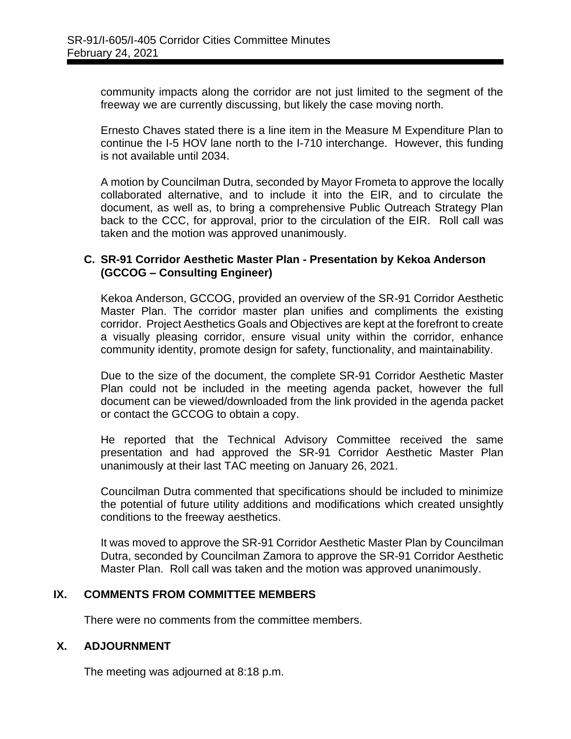community impacts along the corridor are not just limited to the segment of the freeway we are currently discussing, but likely the case moving north.

Ernesto Chaves stated there is a line item in the Measure M Expenditure Plan to continue the I-5 HOV lane north to the I-710 interchange. However, this funding is not available until 2034.

A motion by Councilman Dutra, seconded by Mayor Frometa to approve the locally collaborated alternative, and to include it into the EIR, and to circulate the document, as well as, to bring a comprehensive Public Outreach Strategy Plan back to the CCC, for approval, prior to the circulation of the EIR. Roll call was taken and the motion was approved unanimously.

#### **C. SR-91 Corridor Aesthetic Master Plan - Presentation by Kekoa Anderson (GCCOG – Consulting Engineer)**

Kekoa Anderson, GCCOG, provided an overview of the SR-91 Corridor Aesthetic Master Plan. The corridor master plan unifies and compliments the existing corridor. Project Aesthetics Goals and Objectives are kept at the forefront to create a visually pleasing corridor, ensure visual unity within the corridor, enhance community identity, promote design for safety, functionality, and maintainability.

Due to the size of the document, the complete SR-91 Corridor Aesthetic Master Plan could not be included in the meeting agenda packet, however the full document can be viewed/downloaded from the link provided in the agenda packet or contact the GCCOG to obtain a copy.

He reported that the Technical Advisory Committee received the same presentation and had approved the SR-91 Corridor Aesthetic Master Plan unanimously at their last TAC meeting on January 26, 2021.

Councilman Dutra commented that specifications should be included to minimize the potential of future utility additions and modifications which created unsightly conditions to the freeway aesthetics.

It was moved to approve the SR-91 Corridor Aesthetic Master Plan by Councilman Dutra, seconded by Councilman Zamora to approve the SR-91 Corridor Aesthetic Master Plan. Roll call was taken and the motion was approved unanimously.

#### **IX. COMMENTS FROM COMMITTEE MEMBERS**

There were no comments from the committee members.

#### **X. ADJOURNMENT**

The meeting was adjourned at 8:18 p.m.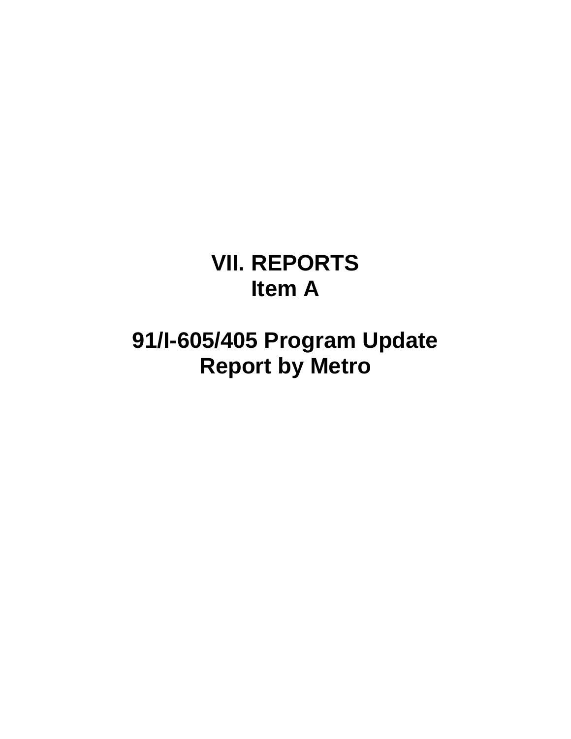# **VII. REPORTS Item A**

# **91/I-605/405 Program Update Report by Metro**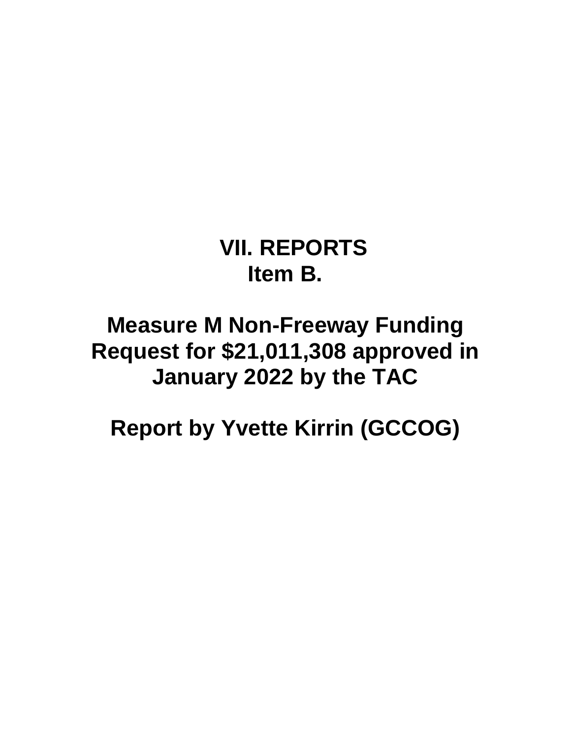**VII. REPORTS Item B.**

## **Measure M Non-Freeway Funding Request for \$21,011,308 approved in January 2022 by the TAC**

**Report by Yvette Kirrin (GCCOG)**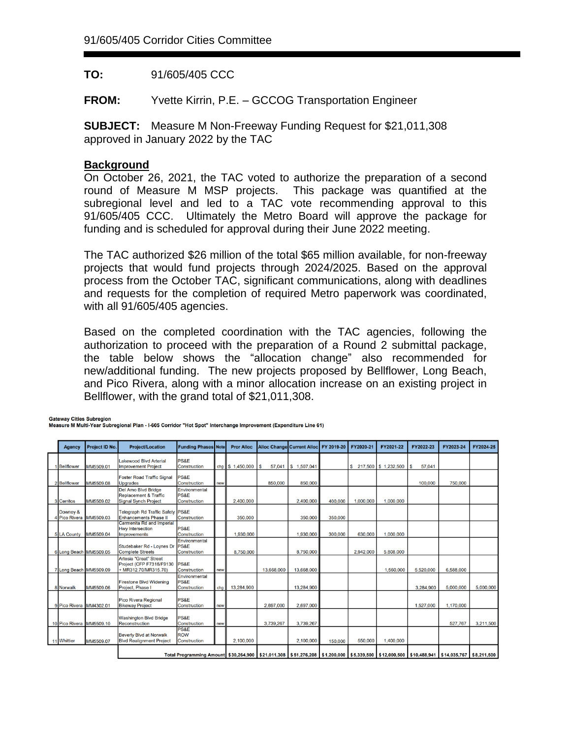**TO:** 91/605/405 CCC

**FROM:** Yvette Kirrin, P.E. – GCCOG Transportation Engineer

**SUBJECT:** Measure M Non-Freeway Funding Request for \$21,011,308 approved in January 2022 by the TAC

#### **Background**

On October 26, 2021, the TAC voted to authorize the preparation of a second round of Measure M MSP projects. This package was quantified at the subregional level and led to a TAC vote recommending approval to this 91/605/405 CCC. Ultimately the Metro Board will approve the package for funding and is scheduled for approval during their June 2022 meeting.

The TAC authorized \$26 million of the total \$65 million available, for non-freeway projects that would fund projects through 2024/2025. Based on the approval process from the October TAC, significant communications, along with deadlines and requests for the completion of required Metro paperwork was coordinated, with all 91/605/405 agencies.

Based on the completed coordination with the TAC agencies, following the authorization to proceed with the preparation of a Round 2 submittal package, the table below shows the "allocation change" also recommended for new/additional funding. The new projects proposed by Bellflower, Long Beach, and Pico Rivera, along with a minor allocation increase on an existing project in Bellflower, with the grand total of \$21,011,308.

**Gateway Cities Subregion** 

Measure M Multi-Year Subregional Plan - I-605 Corridor "Hot Spot" Interchange Improvement (Expenditure Line 61)

| Agency                              | Project ID No.                                                    | <b>Project/Location</b>                                                                | <b>Funding Phases Note</b>                                                                                                                                   |     | <b>Pror Alloc</b> |              | Alloc Change Current Alloc FY 2019-20 |         | FY2020-21 | FY2021-22               | FY2022-23    | FY2023-24 | FY2024-25 |
|-------------------------------------|-------------------------------------------------------------------|----------------------------------------------------------------------------------------|--------------------------------------------------------------------------------------------------------------------------------------------------------------|-----|-------------------|--------------|---------------------------------------|---------|-----------|-------------------------|--------------|-----------|-----------|
|                                     |                                                                   |                                                                                        |                                                                                                                                                              |     |                   |              |                                       |         |           |                         |              |           |           |
| Bellflower                          | MM5509.01                                                         | <b>Lakewood Blvd Arterial</b><br><b>Improvement Project</b>                            | PS&E<br>Construction                                                                                                                                         |     | cha S 1.450,000   | ١s<br>57.041 | \$1.507.041                           |         |           | $$217,500$ $$1,232,500$ | 57,041<br>\$ |           |           |
| 2Bellflower                         | <b>Foster Road Traffic Signal</b><br>MM5509.08<br><b>Upgrades</b> |                                                                                        | PS&E<br>Construction                                                                                                                                         | new |                   | 850,000      | 850,000                               |         |           |                         | 100,000      | 750,000   |           |
| 3 Cerritos                          | MM5509.02                                                         | Del Amo Blvd Bridge<br><b>Replacement &amp; Traffic</b><br><b>Signal Synch Project</b> | Environmental<br><b>PS&amp;E</b><br>Construction                                                                                                             |     | 2.400,000         |              | 2,400,000                             | 400.000 | 1,000,000 | 1,000,000               |              |           |           |
| Downey &<br>4 Pico Rivera MM5509.03 |                                                                   | Telegraph Rd Traffic Safety PS&E<br><b>Enhancements Phase II</b>                       | Construction                                                                                                                                                 |     | 350,000           |              | 350,000                               | 350,000 |           |                         |              |           |           |
| 5 LA County                         | MM5509.04                                                         | Carmenita Rd and Imperial<br><b>Hwy Intersection</b><br><b>Improvements</b>            | <b>PS&amp;E</b><br>Construction                                                                                                                              |     | 1,930,000         |              | 1,930,000                             | 300,000 | 630,000   | 1,000,000               |              |           |           |
| 6 Long Beach MM5509.05              |                                                                   | Studebaker Rd - Loynes Dr PS&E<br><b>Complete Streets</b>                              | Environmental<br>Construction                                                                                                                                |     | 8,750,000         |              | 8,750,000                             |         | 2.942.000 | 5.808.000               |              |           |           |
| 7 Long Beach MM5509.09              |                                                                   | Artesia "Great" Street<br>Project (CFP F7316/F9130<br>+ MR312.70/MR315.70)             | <b>PS&amp;E</b><br>Construction                                                                                                                              | new |                   | 13,668,000   | 13.668.000                            |         |           | 1.560.000               | 5.520.000    | 6.588.000 |           |
| 8 Norwalk                           | MM5509.06                                                         | <b>Firestone Blvd Widening</b><br>Project, Phase I                                     | Environmental<br>PS&E<br>Construction                                                                                                                        | chg | 13,284,900        |              | 13,284,900                            |         |           |                         | 3.284.900    | 5,000,000 | 5,000,000 |
| 9 Pico Rivera MM4302.01             |                                                                   | Pico Rivera Regional<br><b>Bikeway Project</b>                                         | <b>PS&amp;E</b><br>Construction                                                                                                                              | new |                   | 2.697.000    | 2,697,000                             |         |           |                         | 1,527,000    | 1,170,000 |           |
| 10 Pico Rivera MM5509.10            |                                                                   | <b>Washington Blvd Bridge</b><br>Reconstruction                                        | <b>PS&amp;E</b><br>Construction                                                                                                                              | new |                   | 3,739,267    | 3,739,267                             |         |           |                         |              | 527,767   | 3,211,500 |
| 11 Whittier                         | MM5509.07                                                         | Beverly Blvd at Norwalk<br><b>Blvd Realignment Project</b>                             | PS&E<br>ROW<br>Construction                                                                                                                                  |     | 2,100,000         |              | 2,100,000                             | 150,000 | 550,000   | 1,400,000               |              |           |           |
|                                     |                                                                   |                                                                                        | Total Programming Amount   \$30,264,900   \$21,011,308   \$51,276,208   \$1,200,000   \$5,339,500   \$12,000,500   \$10,488,941   \$14,035,767   \$8,211,500 |     |                   |              |                                       |         |           |                         |              |           |           |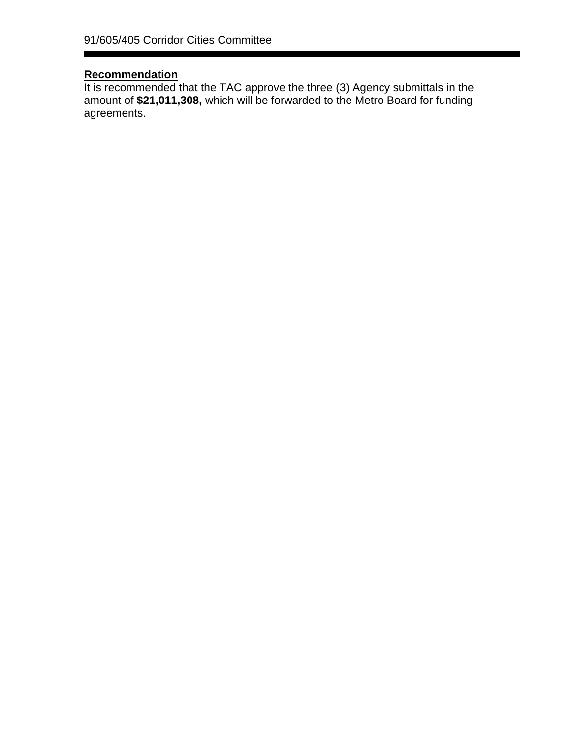#### **Recommendation**

It is recommended that the TAC approve the three (3) Agency submittals in the amount of **\$21,011,308,** which will be forwarded to the Metro Board for funding agreements.